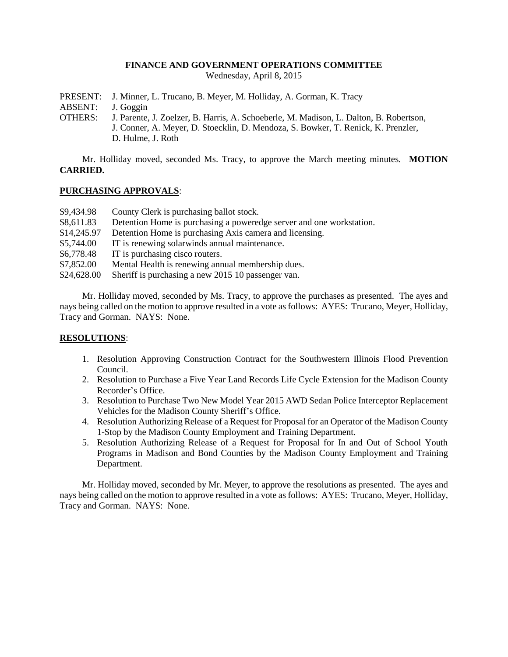### **FINANCE AND GOVERNMENT OPERATIONS COMMITTEE**

Wednesday, April 8, 2015

PRESENT: J. Minner, L. Trucano, B. Meyer, M. Holliday, A. Gorman, K. Tracy

ABSENT: J. Goggin

OTHERS: J. Parente, J. Zoelzer, B. Harris, A. Schoeberle, M. Madison, L. Dalton, B. Robertson, J. Conner, A. Meyer, D. Stoecklin, D. Mendoza, S. Bowker, T. Renick, K. Prenzler, D. Hulme, J. Roth

Mr. Holliday moved, seconded Ms. Tracy, to approve the March meeting minutes. **MOTION CARRIED.**

### **PURCHASING APPROVALS**:

- \$9,434.98 County Clerk is purchasing ballot stock.
- \$8,611.83 Detention Home is purchasing a poweredge server and one workstation.
- \$14,245.97 Detention Home is purchasing Axis camera and licensing.
- \$5,744.00 IT is renewing solarwinds annual maintenance.
- \$6,778.48 IT is purchasing cisco routers.
- \$7,852.00 Mental Health is renewing annual membership dues.
- \$24,628.00 Sheriff is purchasing a new 2015 10 passenger van.

Mr. Holliday moved, seconded by Ms. Tracy, to approve the purchases as presented. The ayes and nays being called on the motion to approve resulted in a vote as follows: AYES: Trucano, Meyer, Holliday, Tracy and Gorman. NAYS: None.

## **RESOLUTIONS**:

- 1. Resolution Approving Construction Contract for the Southwestern Illinois Flood Prevention Council.
- 2. Resolution to Purchase a Five Year Land Records Life Cycle Extension for the Madison County Recorder's Office.
- 3. Resolution to Purchase Two New Model Year 2015 AWD Sedan Police Interceptor Replacement Vehicles for the Madison County Sheriff's Office.
- 4. Resolution Authorizing Release of a Request for Proposal for an Operator of the Madison County 1-Stop by the Madison County Employment and Training Department.
- 5. Resolution Authorizing Release of a Request for Proposal for In and Out of School Youth Programs in Madison and Bond Counties by the Madison County Employment and Training Department.

Mr. Holliday moved, seconded by Mr. Meyer, to approve the resolutions as presented. The ayes and nays being called on the motion to approve resulted in a vote as follows: AYES: Trucano, Meyer, Holliday, Tracy and Gorman. NAYS: None.